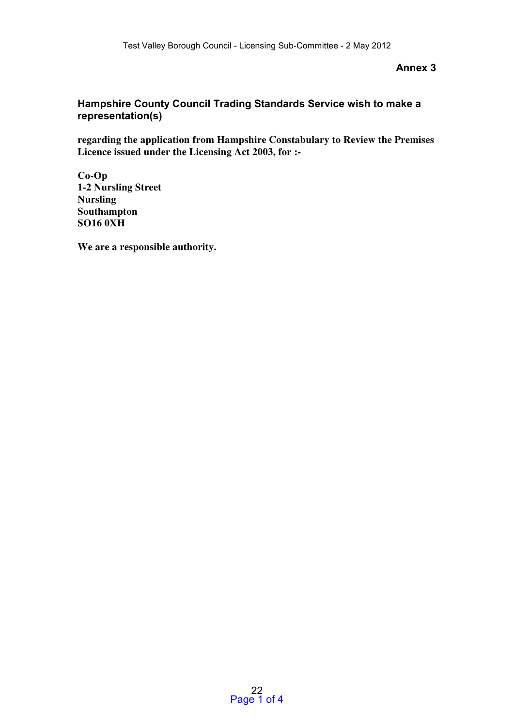## **Annex 3**

## **Hampshire County Council Trading Standards Service wish to make a representation(s)**

regarding the application from Hampshire Constabulary to Review the Premises Licence issued under the Licensing Act 2003, for :-

Co-Op 1-2 Nursling Street Nursling Southampton SO16 0XH

We are a responsible authority.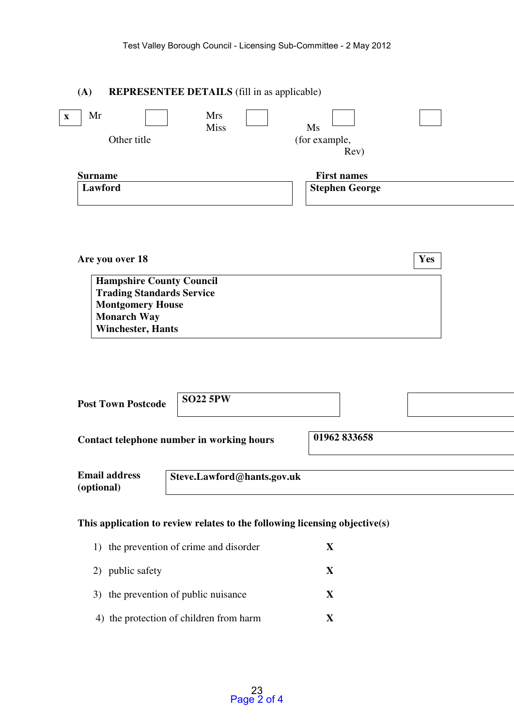## (A) REPRESENTEE DETAILS (fill in as applicable)

| Mr<br>$\mathbf{x}$ | <b>Mrs</b><br>Miss<br>Ms |                       |  |
|--------------------|--------------------------|-----------------------|--|
| Other title        |                          | (for example,         |  |
|                    |                          | Rev)                  |  |
| <b>Surname</b>     |                          | <b>First names</b>    |  |
| Lawford            |                          | <b>Stephen George</b> |  |
|                    |                          |                       |  |

| Are you over 18                  | <b>Yes</b> |
|----------------------------------|------------|
| <b>Hampshire County Council</b>  |            |
| <b>Trading Standards Service</b> |            |
| <b>Montgomery House</b>          |            |
| <b>Monarch Way</b>               |            |
| <b>Winchester, Hants</b>         |            |

| <b>Post Town Postcode</b>          | <b>SO22 5PW</b>                                                            |              |
|------------------------------------|----------------------------------------------------------------------------|--------------|
|                                    | Contact telephone number in working hours                                  | 01962 833658 |
| <b>Email address</b><br>(optional) | Steve.Lawford@hants.gov.uk                                                 |              |
|                                    | This application to review relates to the following licensing objective(s) |              |

| 1) the prevention of crime and disorder |   |
|-----------------------------------------|---|
| 2) public safety                        |   |
| 3) the prevention of public nuisance    | X |
| 4) the protection of children from harm |   |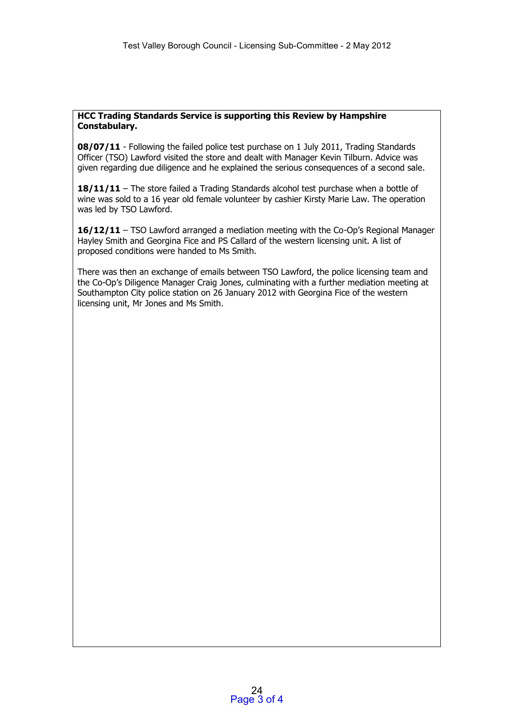## **HCC Trading Standards Service is supporting this Review by Hampshire Constabulary.**

**08/07/11** - Following the failed police test purchase on 1 July 2011, Trading Standards Officer (TSO) Lawford visited the store and dealt with Manager Kevin Tilburn. Advice was given regarding due diligence and he explained the serious consequences of a second sale.

**18/11/11** – The store failed a Trading Standards alcohol test purchase when a bottle of wine was sold to a 16 year old female volunteer by cashier Kirsty Marie Law. The operation was led by TSO Lawford.

**16/12/11** – TSO Lawford arranged a mediation meeting with the Co-Op's Regional Manager Hayley Smith and Georgina Fice and PS Callard of the western licensing unit. A list of proposed conditions were handed to Ms Smith.

There was then an exchange of emails between TSO Lawford, the police licensing team and the Co-Op's Diligence Manager Craig Jones, culminating with a further mediation meeting at Southampton City police station on 26 January 2012 with Georgina Fice of the western licensing unit, Mr Jones and Ms Smith.